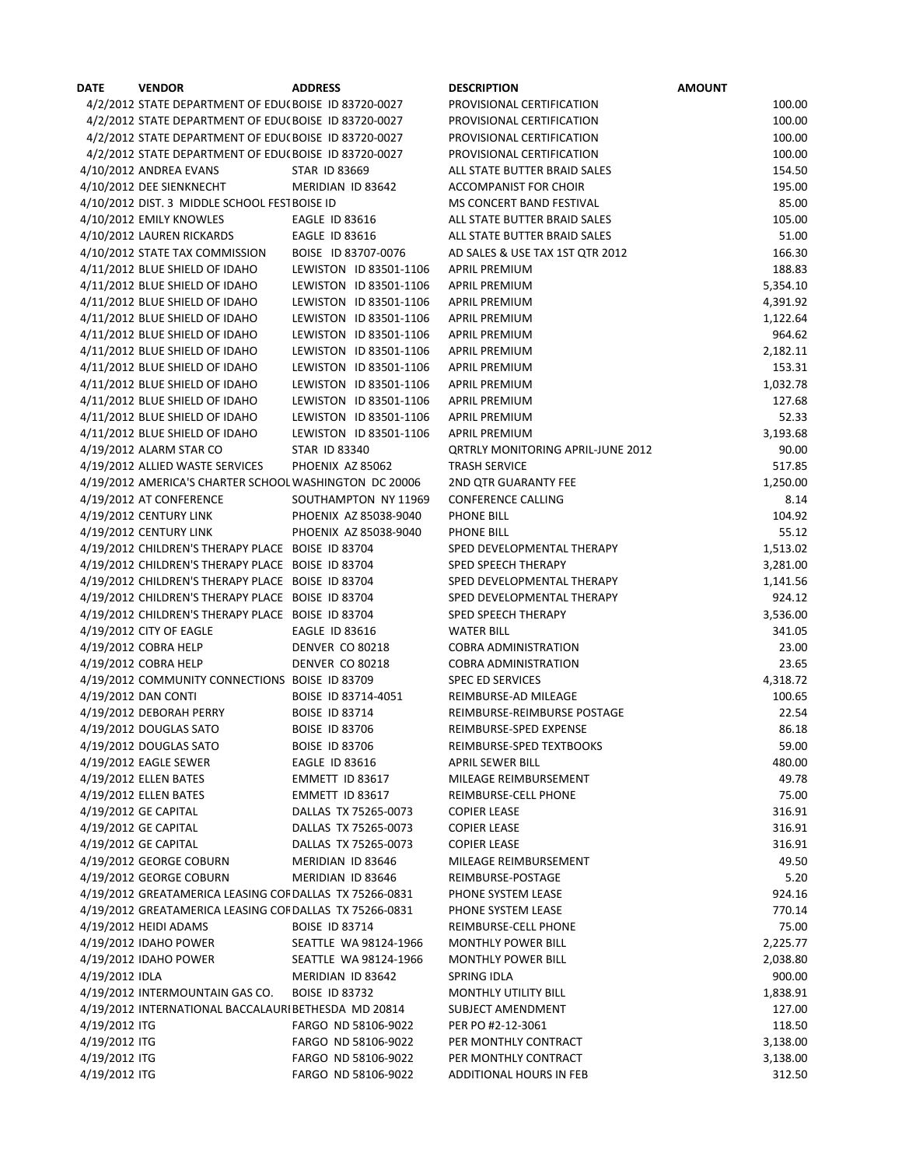| <b>DATE</b>    | <b>VENDOR</b>                                                          | <b>ADDRESS</b>         | <b>DESCRIPTION</b>                                    | <b>AMOUNT</b>     |
|----------------|------------------------------------------------------------------------|------------------------|-------------------------------------------------------|-------------------|
|                | 4/2/2012 STATE DEPARTMENT OF EDU(BOISE ID 83720-0027                   |                        | PROVISIONAL CERTIFICATION                             | 100.00            |
|                | 4/2/2012 STATE DEPARTMENT OF EDU(BOISE ID 83720-0027                   |                        | PROVISIONAL CERTIFICATION                             | 100.00            |
|                | 4/2/2012 STATE DEPARTMENT OF EDU(BOISE ID 83720-0027                   |                        | PROVISIONAL CERTIFICATION                             | 100.00            |
|                | 4/2/2012 STATE DEPARTMENT OF EDU(BOISE ID 83720-0027                   |                        | PROVISIONAL CERTIFICATION                             | 100.00            |
|                | 4/10/2012 ANDREA EVANS                                                 | <b>STAR ID 83669</b>   | ALL STATE BUTTER BRAID SALES                          | 154.50            |
|                | 4/10/2012 DEE SIENKNECHT                                               | MERIDIAN ID 83642      | <b>ACCOMPANIST FOR CHOIR</b>                          | 195.00            |
|                | 4/10/2012 DIST. 3 MIDDLE SCHOOL FESTBOISE ID                           |                        | MS CONCERT BAND FESTIVAL                              | 85.00             |
|                | 4/10/2012 EMILY KNOWLES                                                | <b>EAGLE ID 83616</b>  | ALL STATE BUTTER BRAID SALES                          | 105.00            |
|                | 4/10/2012 LAUREN RICKARDS                                              | <b>EAGLE ID 83616</b>  | ALL STATE BUTTER BRAID SALES                          | 51.00             |
|                | 4/10/2012 STATE TAX COMMISSION                                         | BOISE ID 83707-0076    | AD SALES & USE TAX 1ST QTR 2012                       | 166.30            |
|                | 4/11/2012 BLUE SHIELD OF IDAHO                                         | LEWISTON ID 83501-1106 | <b>APRIL PREMIUM</b>                                  | 188.83            |
|                | 4/11/2012 BLUE SHIELD OF IDAHO                                         | LEWISTON ID 83501-1106 | <b>APRIL PREMIUM</b>                                  | 5,354.10          |
|                | 4/11/2012 BLUE SHIELD OF IDAHO                                         | LEWISTON ID 83501-1106 | <b>APRIL PREMIUM</b>                                  | 4,391.92          |
|                | 4/11/2012 BLUE SHIELD OF IDAHO                                         | LEWISTON ID 83501-1106 | <b>APRIL PREMIUM</b>                                  | 1,122.64          |
|                | 4/11/2012 BLUE SHIELD OF IDAHO                                         | LEWISTON ID 83501-1106 | <b>APRIL PREMIUM</b>                                  | 964.62            |
|                | 4/11/2012 BLUE SHIELD OF IDAHO                                         | LEWISTON ID 83501-1106 | <b>APRIL PREMIUM</b>                                  | 2,182.11          |
|                | 4/11/2012 BLUE SHIELD OF IDAHO                                         | LEWISTON ID 83501-1106 | <b>APRIL PREMIUM</b>                                  | 153.31            |
|                | 4/11/2012 BLUE SHIELD OF IDAHO                                         | LEWISTON ID 83501-1106 | <b>APRIL PREMIUM</b>                                  | 1,032.78          |
|                | 4/11/2012 BLUE SHIELD OF IDAHO                                         | LEWISTON ID 83501-1106 | <b>APRIL PREMIUM</b>                                  | 127.68            |
|                | 4/11/2012 BLUE SHIELD OF IDAHO                                         | LEWISTON ID 83501-1106 | <b>APRIL PREMIUM</b>                                  | 52.33             |
|                | 4/11/2012 BLUE SHIELD OF IDAHO                                         | LEWISTON ID 83501-1106 | <b>APRIL PREMIUM</b>                                  | 3,193.68          |
|                | 4/19/2012 ALARM STAR CO                                                | <b>STAR ID 83340</b>   | <b>QRTRLY MONITORING APRIL-JUNE 2012</b>              | 90.00             |
|                | 4/19/2012 ALLIED WASTE SERVICES                                        | PHOENIX AZ 85062       | <b>TRASH SERVICE</b>                                  | 517.85            |
|                | 4/19/2012 AMERICA'S CHARTER SCHOOL WASHINGTON DC 20006                 |                        | 2ND QTR GUARANTY FEE                                  | 1,250.00          |
|                | 4/19/2012 AT CONFERENCE                                                | SOUTHAMPTON NY 11969   | <b>CONFERENCE CALLING</b>                             | 8.14              |
|                | 4/19/2012 CENTURY LINK                                                 | PHOENIX AZ 85038-9040  | PHONE BILL                                            | 104.92            |
|                | 4/19/2012 CENTURY LINK                                                 | PHOENIX AZ 85038-9040  | PHONE BILL                                            | 55.12             |
|                | 4/19/2012 CHILDREN'S THERAPY PLACE BOISE ID 83704                      |                        | SPED DEVELOPMENTAL THERAPY                            | 1,513.02          |
|                | 4/19/2012 CHILDREN'S THERAPY PLACE BOISE ID 83704                      |                        | SPED SPEECH THERAPY                                   | 3,281.00          |
|                | 4/19/2012 CHILDREN'S THERAPY PLACE BOISE ID 83704                      |                        | SPED DEVELOPMENTAL THERAPY                            | 1,141.56          |
|                | 4/19/2012 CHILDREN'S THERAPY PLACE BOISE ID 83704                      |                        | SPED DEVELOPMENTAL THERAPY                            | 924.12            |
|                | 4/19/2012 CHILDREN'S THERAPY PLACE BOISE ID 83704                      |                        | SPED SPEECH THERAPY                                   | 3,536.00          |
|                | 4/19/2012 CITY OF EAGLE                                                | <b>EAGLE ID 83616</b>  | <b>WATER BILL</b>                                     | 341.05            |
|                | 4/19/2012 COBRA HELP                                                   | DENVER CO 80218        | <b>COBRA ADMINISTRATION</b>                           | 23.00             |
|                | 4/19/2012 COBRA HELP<br>4/19/2012 COMMUNITY CONNECTIONS BOISE ID 83709 | <b>DENVER CO 80218</b> | <b>COBRA ADMINISTRATION</b>                           | 23.65<br>4,318.72 |
|                | 4/19/2012 DAN CONTI                                                    | BOISE ID 83714-4051    | <b>SPEC ED SERVICES</b><br>REIMBURSE-AD MILEAGE       | 100.65            |
|                |                                                                        | <b>BOISE ID 83714</b>  |                                                       | 22.54             |
|                | 4/19/2012 DEBORAH PERRY<br>4/19/2012 DOUGLAS SATO                      | <b>BOISE ID 83706</b>  | REIMBURSE-REIMBURSE POSTAGE<br>REIMBURSE-SPED EXPENSE | 86.18             |
|                | 4/19/2012 DOUGLAS SATO                                                 | <b>BOISE ID 83706</b>  | REIMBURSE-SPED TEXTBOOKS                              | 59.00             |
|                | 4/19/2012 EAGLE SEWER                                                  | <b>EAGLE ID 83616</b>  | APRIL SEWER BILL                                      | 480.00            |
|                | 4/19/2012 ELLEN BATES                                                  | EMMETT ID 83617        | MILEAGE REIMBURSEMENT                                 | 49.78             |
|                | 4/19/2012 ELLEN BATES                                                  | EMMETT ID 83617        | REIMBURSE-CELL PHONE                                  | 75.00             |
|                | 4/19/2012 GE CAPITAL                                                   | DALLAS TX 75265-0073   | <b>COPIER LEASE</b>                                   | 316.91            |
|                | 4/19/2012 GE CAPITAL                                                   | DALLAS TX 75265-0073   | <b>COPIER LEASE</b>                                   | 316.91            |
|                | 4/19/2012 GE CAPITAL                                                   | DALLAS TX 75265-0073   | <b>COPIER LEASE</b>                                   | 316.91            |
|                | 4/19/2012 GEORGE COBURN                                                | MERIDIAN ID 83646      | MILEAGE REIMBURSEMENT                                 | 49.50             |
|                | 4/19/2012 GEORGE COBURN                                                | MERIDIAN ID 83646      | REIMBURSE-POSTAGE                                     | 5.20              |
|                | 4/19/2012 GREATAMERICA LEASING COFDALLAS TX 75266-0831                 |                        | PHONE SYSTEM LEASE                                    | 924.16            |
|                | 4/19/2012 GREATAMERICA LEASING COFDALLAS TX 75266-0831                 |                        | PHONE SYSTEM LEASE                                    | 770.14            |
|                | 4/19/2012 HEIDI ADAMS                                                  | <b>BOISE ID 83714</b>  | REIMBURSE-CELL PHONE                                  | 75.00             |
|                | 4/19/2012 IDAHO POWER                                                  | SEATTLE WA 98124-1966  | <b>MONTHLY POWER BILL</b>                             | 2,225.77          |
|                | 4/19/2012 IDAHO POWER                                                  | SEATTLE WA 98124-1966  | <b>MONTHLY POWER BILL</b>                             | 2,038.80          |
| 4/19/2012 IDLA |                                                                        | MERIDIAN ID 83642      | SPRING IDLA                                           | 900.00            |
|                | 4/19/2012 INTERMOUNTAIN GAS CO.                                        | <b>BOISE ID 83732</b>  | <b>MONTHLY UTILITY BILL</b>                           | 1,838.91          |
|                | 4/19/2012 INTERNATIONAL BACCALAURIBETHESDA MD 20814                    |                        | SUBJECT AMENDMENT                                     | 127.00            |
| 4/19/2012 ITG  |                                                                        | FARGO ND 58106-9022    | PER PO #2-12-3061                                     | 118.50            |
| 4/19/2012 ITG  |                                                                        | FARGO ND 58106-9022    | PER MONTHLY CONTRACT                                  | 3,138.00          |
| 4/19/2012 ITG  |                                                                        | FARGO ND 58106-9022    | PER MONTHLY CONTRACT                                  | 3,138.00          |
| 4/19/2012 ITG  |                                                                        | FARGO ND 58106-9022    | ADDITIONAL HOURS IN FEB                               | 312.50            |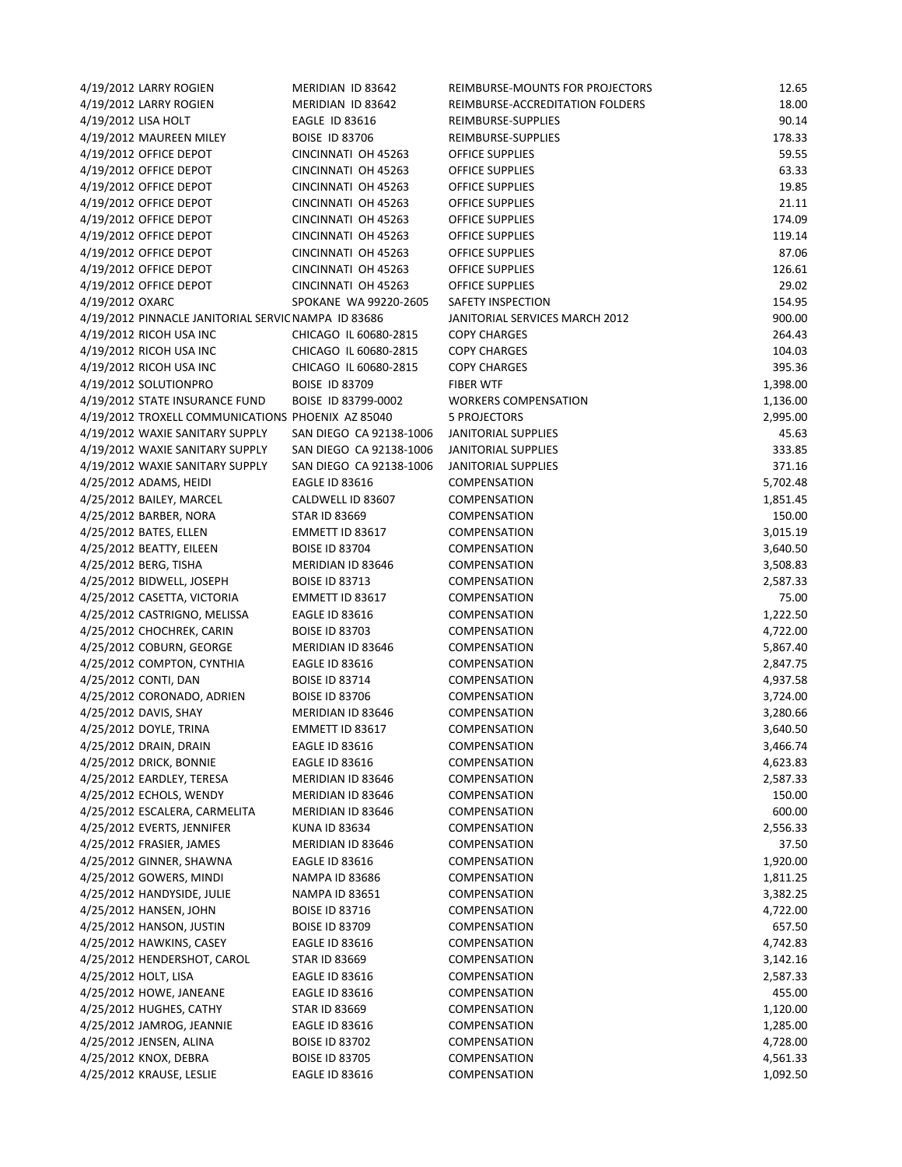| 4/19/2012 LARRY ROGIEN                                  | MERIDIAN ID 83642       | REIMBURSE-MOUNTS FOR PROJECTORS | 12.65    |
|---------------------------------------------------------|-------------------------|---------------------------------|----------|
| 4/19/2012 LARRY ROGIEN                                  | MERIDIAN ID 83642       | REIMBURSE-ACCREDITATION FOLDERS | 18.00    |
| 4/19/2012 LISA HOLT                                     | <b>EAGLE ID 83616</b>   | REIMBURSE-SUPPLIES              | 90.14    |
| 4/19/2012 MAUREEN MILEY                                 | <b>BOISE ID 83706</b>   | REIMBURSE-SUPPLIES              | 178.33   |
| 4/19/2012 OFFICE DEPOT                                  | CINCINNATI OH 45263     | OFFICE SUPPLIES                 | 59.55    |
| 4/19/2012 OFFICE DEPOT                                  | CINCINNATI OH 45263     | OFFICE SUPPLIES                 | 63.33    |
| 4/19/2012 OFFICE DEPOT                                  | CINCINNATI OH 45263     | OFFICE SUPPLIES                 | 19.85    |
| 4/19/2012 OFFICE DEPOT                                  | CINCINNATI OH 45263     | OFFICE SUPPLIES                 | 21.11    |
| 4/19/2012 OFFICE DEPOT                                  | CINCINNATI OH 45263     | <b>OFFICE SUPPLIES</b>          | 174.09   |
| 4/19/2012 OFFICE DEPOT                                  | CINCINNATI OH 45263     | OFFICE SUPPLIES                 | 119.14   |
| 4/19/2012 OFFICE DEPOT                                  | CINCINNATI OH 45263     | <b>OFFICE SUPPLIES</b>          | 87.06    |
| 4/19/2012 OFFICE DEPOT                                  | CINCINNATI OH 45263     | <b>OFFICE SUPPLIES</b>          | 126.61   |
| 4/19/2012 OFFICE DEPOT                                  | CINCINNATI OH 45263     | OFFICE SUPPLIES                 | 29.02    |
| 4/19/2012 OXARC                                         | SPOKANE WA 99220-2605   | SAFETY INSPECTION               | 154.95   |
| 4/19/2012 PINNACLE JANITORIAL SERVIC NAMPA ID 83686     |                         | JANITORIAL SERVICES MARCH 2012  | 900.00   |
| 4/19/2012 RICOH USA INC                                 | CHICAGO IL 60680-2815   | <b>COPY CHARGES</b>             | 264.43   |
| 4/19/2012 RICOH USA INC                                 | CHICAGO IL 60680-2815   | <b>COPY CHARGES</b>             | 104.03   |
| 4/19/2012 RICOH USA INC                                 | CHICAGO IL 60680-2815   | <b>COPY CHARGES</b>             | 395.36   |
| 4/19/2012 SOLUTIONPRO                                   | <b>BOISE ID 83709</b>   | <b>FIBER WTF</b>                |          |
| 4/19/2012 STATE INSURANCE FUND                          | BOISE ID 83799-0002     |                                 | 1,398.00 |
|                                                         |                         | <b>WORKERS COMPENSATION</b>     | 1,136.00 |
| 4/19/2012 TROXELL COMMUNICATIONS PHOENIX AZ 85040       |                         | <b>5 PROJECTORS</b>             | 2,995.00 |
| 4/19/2012 WAXIE SANITARY SUPPLY                         | SAN DIEGO CA 92138-1006 | JANITORIAL SUPPLIES             | 45.63    |
| 4/19/2012 WAXIE SANITARY SUPPLY                         | SAN DIEGO CA 92138-1006 | JANITORIAL SUPPLIES             | 333.85   |
| 4/19/2012 WAXIE SANITARY SUPPLY                         | SAN DIEGO CA 92138-1006 | <b>JANITORIAL SUPPLIES</b>      | 371.16   |
| 4/25/2012 ADAMS, HEIDI                                  | <b>EAGLE ID 83616</b>   | COMPENSATION                    | 5,702.48 |
| 4/25/2012 BAILEY, MARCEL                                | CALDWELL ID 83607       | COMPENSATION                    | 1,851.45 |
| 4/25/2012 BARBER, NORA                                  | <b>STAR ID 83669</b>    | <b>COMPENSATION</b>             | 150.00   |
| 4/25/2012 BATES, ELLEN                                  | EMMETT ID 83617         | COMPENSATION                    | 3,015.19 |
| 4/25/2012 BEATTY, EILEEN                                | <b>BOISE ID 83704</b>   | COMPENSATION                    | 3,640.50 |
| 4/25/2012 BERG, TISHA                                   | MERIDIAN ID 83646       | <b>COMPENSATION</b>             | 3,508.83 |
| 4/25/2012 BIDWELL, JOSEPH                               | <b>BOISE ID 83713</b>   | <b>COMPENSATION</b>             | 2,587.33 |
| 4/25/2012 CASETTA, VICTORIA                             | EMMETT ID 83617         | COMPENSATION                    | 75.00    |
| 4/25/2012 CASTRIGNO, MELISSA                            | <b>EAGLE ID 83616</b>   | <b>COMPENSATION</b>             | 1,222.50 |
| 4/25/2012 CHOCHREK, CARIN                               | <b>BOISE ID 83703</b>   | COMPENSATION                    | 4,722.00 |
| 4/25/2012 COBURN, GEORGE                                | MERIDIAN ID 83646       | COMPENSATION                    | 5,867.40 |
| 4/25/2012 COMPTON, CYNTHIA                              | <b>EAGLE ID 83616</b>   | COMPENSATION                    | 2,847.75 |
| 4/25/2012 CONTI, DAN                                    | <b>BOISE ID 83714</b>   | COMPENSATION                    | 4,937.58 |
| 4/25/2012 CORONADO, ADRIEN                              | <b>BOISE ID 83706</b>   | COMPENSATION                    | 3,724.00 |
| 4/25/2012 DAVIS, SHAY                                   | MERIDIAN ID 83646       | COMPENSATION                    | 3,280.66 |
| 4/25/2012 DOYLE, TRINA                                  | EMMETT ID 83617         | <b>COMPENSATION</b>             | 3,640.50 |
| 4/25/2012 DRAIN, DRAIN                                  | <b>EAGLE ID 83616</b>   | COMPENSATION                    | 3,466.74 |
| 4/25/2012 DRICK, BONNIE                                 | EAGLE ID 83616          | <b>COMPENSATION</b>             | 4,623.83 |
| 4/25/2012 EARDLEY, TERESA                               | MERIDIAN ID 83646       | COMPENSATION                    | 2,587.33 |
| 4/25/2012 ECHOLS, WENDY                                 | MERIDIAN ID 83646       | <b>COMPENSATION</b>             | 150.00   |
| 4/25/2012 ESCALERA, CARMELITA                           | MERIDIAN ID 83646       | COMPENSATION                    | 600.00   |
| 4/25/2012 EVERTS, JENNIFER                              | KUNA ID 83634           | COMPENSATION                    | 2,556.33 |
| 4/25/2012 FRASIER, JAMES                                | MERIDIAN ID 83646       | COMPENSATION                    | 37.50    |
| 4/25/2012 GINNER, SHAWNA                                | <b>EAGLE ID 83616</b>   | COMPENSATION                    | 1,920.00 |
| 4/25/2012 GOWERS, MINDI                                 | <b>NAMPA ID 83686</b>   | COMPENSATION                    | 1,811.25 |
| 4/25/2012 HANDYSIDE, JULIE                              | <b>NAMPA ID 83651</b>   | <b>COMPENSATION</b>             | 3,382.25 |
| 4/25/2012 HANSEN, JOHN                                  | <b>BOISE ID 83716</b>   | <b>COMPENSATION</b>             | 4,722.00 |
| 4/25/2012 HANSON, JUSTIN                                | <b>BOISE ID 83709</b>   | COMPENSATION                    | 657.50   |
|                                                         |                         |                                 |          |
| 4/25/2012 HAWKINS, CASEY<br>4/25/2012 HENDERSHOT, CAROL | EAGLE ID 83616          | <b>COMPENSATION</b>             | 4,742.83 |
|                                                         | STAR ID 83669           | COMPENSATION                    | 3,142.16 |
| 4/25/2012 HOLT, LISA                                    | EAGLE ID 83616          | COMPENSATION                    | 2,587.33 |
| 4/25/2012 HOWE, JANEANE                                 | <b>EAGLE ID 83616</b>   | COMPENSATION                    | 455.00   |
| 4/25/2012 HUGHES, CATHY                                 | <b>STAR ID 83669</b>    | COMPENSATION                    | 1,120.00 |
| 4/25/2012 JAMROG, JEANNIE                               | EAGLE ID 83616          | <b>COMPENSATION</b>             | 1,285.00 |
| 4/25/2012 JENSEN, ALINA                                 | <b>BOISE ID 83702</b>   | <b>COMPENSATION</b>             | 4,728.00 |
| 4/25/2012 KNOX, DEBRA                                   | <b>BOISE ID 83705</b>   | COMPENSATION                    | 4,561.33 |
| 4/25/2012 KRAUSE, LESLIE                                | <b>EAGLE ID 83616</b>   | COMPENSATION                    | 1,092.50 |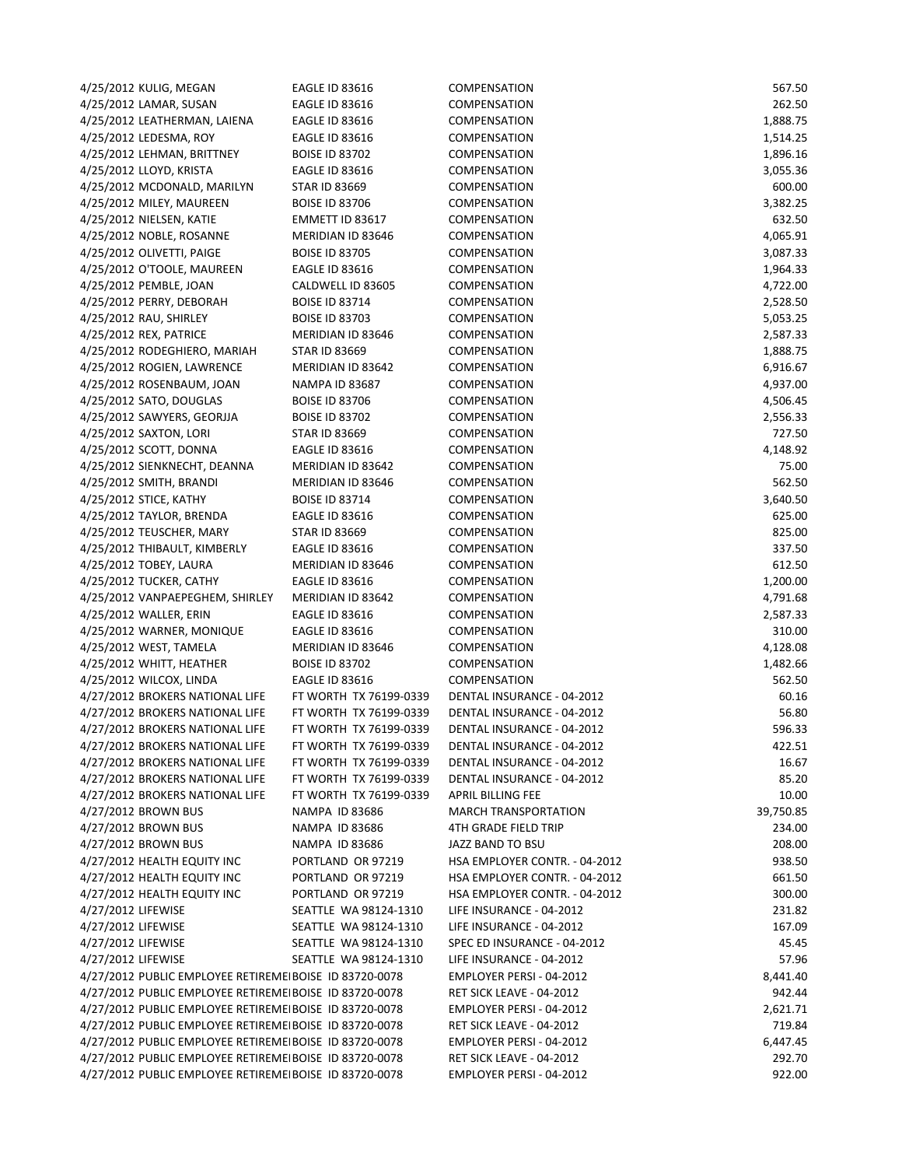| 4/25/2012 KULIG, MEGAN                                 | <b>EAGLE ID 83616</b>  | COMPENSATION                  | 567.50           |
|--------------------------------------------------------|------------------------|-------------------------------|------------------|
| 4/25/2012 LAMAR, SUSAN                                 | <b>EAGLE ID 83616</b>  | <b>COMPENSATION</b>           | 262.50           |
| 4/25/2012 LEATHERMAN, LAIENA                           | <b>EAGLE ID 83616</b>  | <b>COMPENSATION</b>           | 1,888.75         |
| 4/25/2012 LEDESMA, ROY                                 | <b>EAGLE ID 83616</b>  | COMPENSATION                  | 1,514.25         |
| 4/25/2012 LEHMAN, BRITTNEY                             | <b>BOISE ID 83702</b>  | COMPENSATION                  | 1,896.16         |
| 4/25/2012 LLOYD, KRISTA                                | <b>EAGLE ID 83616</b>  | COMPENSATION                  | 3,055.36         |
| 4/25/2012 MCDONALD, MARILYN                            | <b>STAR ID 83669</b>   | COMPENSATION                  | 600.00           |
| 4/25/2012 MILEY, MAUREEN                               | <b>BOISE ID 83706</b>  | COMPENSATION                  | 3,382.25         |
| 4/25/2012 NIELSEN, KATIE                               | EMMETT ID 83617        | <b>COMPENSATION</b>           | 632.50           |
| 4/25/2012 NOBLE, ROSANNE                               | MERIDIAN ID 83646      | COMPENSATION                  | 4,065.91         |
| 4/25/2012 OLIVETTI, PAIGE                              | <b>BOISE ID 83705</b>  | <b>COMPENSATION</b>           | 3,087.33         |
| 4/25/2012 O'TOOLE, MAUREEN                             | <b>EAGLE ID 83616</b>  | COMPENSATION                  | 1,964.33         |
| 4/25/2012 PEMBLE, JOAN                                 | CALDWELL ID 83605      | COMPENSATION                  | 4,722.00         |
| 4/25/2012 PERRY, DEBORAH                               | <b>BOISE ID 83714</b>  | COMPENSATION                  | 2,528.50         |
| 4/25/2012 RAU, SHIRLEY                                 | <b>BOISE ID 83703</b>  | <b>COMPENSATION</b>           | 5,053.25         |
| 4/25/2012 REX, PATRICE                                 | MERIDIAN ID 83646      | <b>COMPENSATION</b>           | 2,587.33         |
|                                                        | <b>STAR ID 83669</b>   |                               |                  |
| 4/25/2012 RODEGHIERO, MARIAH                           |                        | COMPENSATION                  | 1,888.75         |
| 4/25/2012 ROGIEN, LAWRENCE                             | MERIDIAN ID 83642      | COMPENSATION                  | 6,916.67         |
| 4/25/2012 ROSENBAUM, JOAN                              | <b>NAMPA ID 83687</b>  | COMPENSATION                  | 4,937.00         |
| 4/25/2012 SATO, DOUGLAS                                | <b>BOISE ID 83706</b>  | COMPENSATION                  | 4,506.45         |
| 4/25/2012 SAWYERS, GEORJJA                             | <b>BOISE ID 83702</b>  | COMPENSATION                  | 2,556.33         |
| 4/25/2012 SAXTON, LORI                                 | <b>STAR ID 83669</b>   | COMPENSATION                  | 727.50           |
| 4/25/2012 SCOTT, DONNA                                 | <b>EAGLE ID 83616</b>  | COMPENSATION                  | 4,148.92         |
| 4/25/2012 SIENKNECHT, DEANNA                           | MERIDIAN ID 83642      | COMPENSATION                  | 75.00            |
| 4/25/2012 SMITH, BRANDI                                | MERIDIAN ID 83646      | COMPENSATION                  | 562.50           |
| 4/25/2012 STICE, KATHY                                 | <b>BOISE ID 83714</b>  | COMPENSATION                  | 3,640.50         |
| 4/25/2012 TAYLOR, BRENDA                               | <b>EAGLE ID 83616</b>  | <b>COMPENSATION</b>           | 625.00           |
| 4/25/2012 TEUSCHER, MARY                               | <b>STAR ID 83669</b>   | COMPENSATION                  | 825.00           |
| 4/25/2012 THIBAULT, KIMBERLY                           | <b>EAGLE ID 83616</b>  | COMPENSATION                  | 337.50           |
| 4/25/2012 TOBEY, LAURA                                 | MERIDIAN ID 83646      | COMPENSATION                  | 612.50           |
| 4/25/2012 TUCKER, CATHY                                | <b>EAGLE ID 83616</b>  | <b>COMPENSATION</b>           | 1,200.00         |
| 4/25/2012 VANPAEPEGHEM, SHIRLEY                        | MERIDIAN ID 83642      | COMPENSATION                  | 4,791.68         |
| 4/25/2012 WALLER, ERIN                                 | <b>EAGLE ID 83616</b>  | COMPENSATION                  | 2,587.33         |
| 4/25/2012 WARNER, MONIQUE                              | <b>EAGLE ID 83616</b>  | COMPENSATION                  | 310.00           |
| 4/25/2012 WEST, TAMELA                                 | MERIDIAN ID 83646      | COMPENSATION                  | 4,128.08         |
| 4/25/2012 WHITT, HEATHER                               | <b>BOISE ID 83702</b>  | <b>COMPENSATION</b>           | 1,482.66         |
| 4/25/2012 WILCOX, LINDA                                | <b>EAGLE ID 83616</b>  | COMPENSATION                  | 562.50           |
| 4/27/2012 BROKERS NATIONAL LIFE                        | FT WORTH TX 76199-0339 | DENTAL INSURANCE - 04-2012    | 60.16            |
| 4/27/2012 BROKERS NATIONAL LIFE                        | FT WORTH TX 76199-0339 | DENTAL INSURANCE - 04-2012    | 56.80            |
|                                                        | FT WORTH TX 76199-0339 | DENTAL INSURANCE - 04-2012    |                  |
| 4/27/2012 BROKERS NATIONAL LIFE                        |                        | DENTAL INSURANCE - 04-2012    | 596.33<br>422.51 |
| 4/27/2012 BROKERS NATIONAL LIFE                        | FT WORTH TX 76199-0339 |                               |                  |
| 4/27/2012 BROKERS NATIONAL LIFE                        | FT WORTH TX 76199-0339 | DENTAL INSURANCE - 04-2012    | 16.67            |
| 4/27/2012 BROKERS NATIONAL LIFE                        | FT WORTH TX 76199-0339 | DENTAL INSURANCE - 04-2012    | 85.20            |
| 4/27/2012 BROKERS NATIONAL LIFE                        | FT WORTH TX 76199-0339 | <b>APRIL BILLING FEE</b>      | 10.00            |
| 4/27/2012 BROWN BUS                                    | <b>NAMPA ID 83686</b>  | <b>MARCH TRANSPORTATION</b>   | 39,750.85        |
| 4/27/2012 BROWN BUS                                    | <b>NAMPA ID 83686</b>  | <b>4TH GRADE FIELD TRIP</b>   | 234.00           |
| 4/27/2012 BROWN BUS                                    | <b>NAMPA ID 83686</b>  | JAZZ BAND TO BSU              | 208.00           |
| 4/27/2012 HEALTH EQUITY INC                            | PORTLAND OR 97219      | HSA EMPLOYER CONTR. - 04-2012 | 938.50           |
| 4/27/2012 HEALTH EQUITY INC                            | PORTLAND OR 97219      | HSA EMPLOYER CONTR. - 04-2012 | 661.50           |
| 4/27/2012 HEALTH EQUITY INC                            | PORTLAND OR 97219      | HSA EMPLOYER CONTR. - 04-2012 | 300.00           |
| 4/27/2012 LIFEWISE                                     | SEATTLE WA 98124-1310  | LIFE INSURANCE - 04-2012      | 231.82           |
| 4/27/2012 LIFEWISE                                     | SEATTLE WA 98124-1310  | LIFE INSURANCE - 04-2012      | 167.09           |
| 4/27/2012 LIFEWISE                                     | SEATTLE WA 98124-1310  | SPEC ED INSURANCE - 04-2012   | 45.45            |
| 4/27/2012 LIFEWISE                                     | SEATTLE WA 98124-1310  | LIFE INSURANCE - 04-2012      | 57.96            |
| 4/27/2012 PUBLIC EMPLOYEE RETIREMEIBOISE ID 83720-0078 |                        | EMPLOYER PERSI - 04-2012      | 8,441.40         |
| 4/27/2012 PUBLIC EMPLOYEE RETIREMEIBOISE ID 83720-0078 |                        | RET SICK LEAVE - 04-2012      | 942.44           |
| 4/27/2012 PUBLIC EMPLOYEE RETIREMEIBOISE ID 83720-0078 |                        | EMPLOYER PERSI - 04-2012      | 2,621.71         |
| 4/27/2012 PUBLIC EMPLOYEE RETIREMEIBOISE ID 83720-0078 |                        | RET SICK LEAVE - 04-2012      | 719.84           |
| 4/27/2012 PUBLIC EMPLOYEE RETIREMEIBOISE ID 83720-0078 |                        | EMPLOYER PERSI - 04-2012      | 6,447.45         |
| 4/27/2012 PUBLIC EMPLOYEE RETIREMEIBOISE ID 83720-0078 |                        | RET SICK LEAVE - 04-2012      | 292.70           |
| 4/27/2012 PUBLIC EMPLOYEE RETIREMEIBOISE ID 83720-0078 |                        | EMPLOYER PERSI - 04-2012      | 922.00           |
|                                                        |                        |                               |                  |